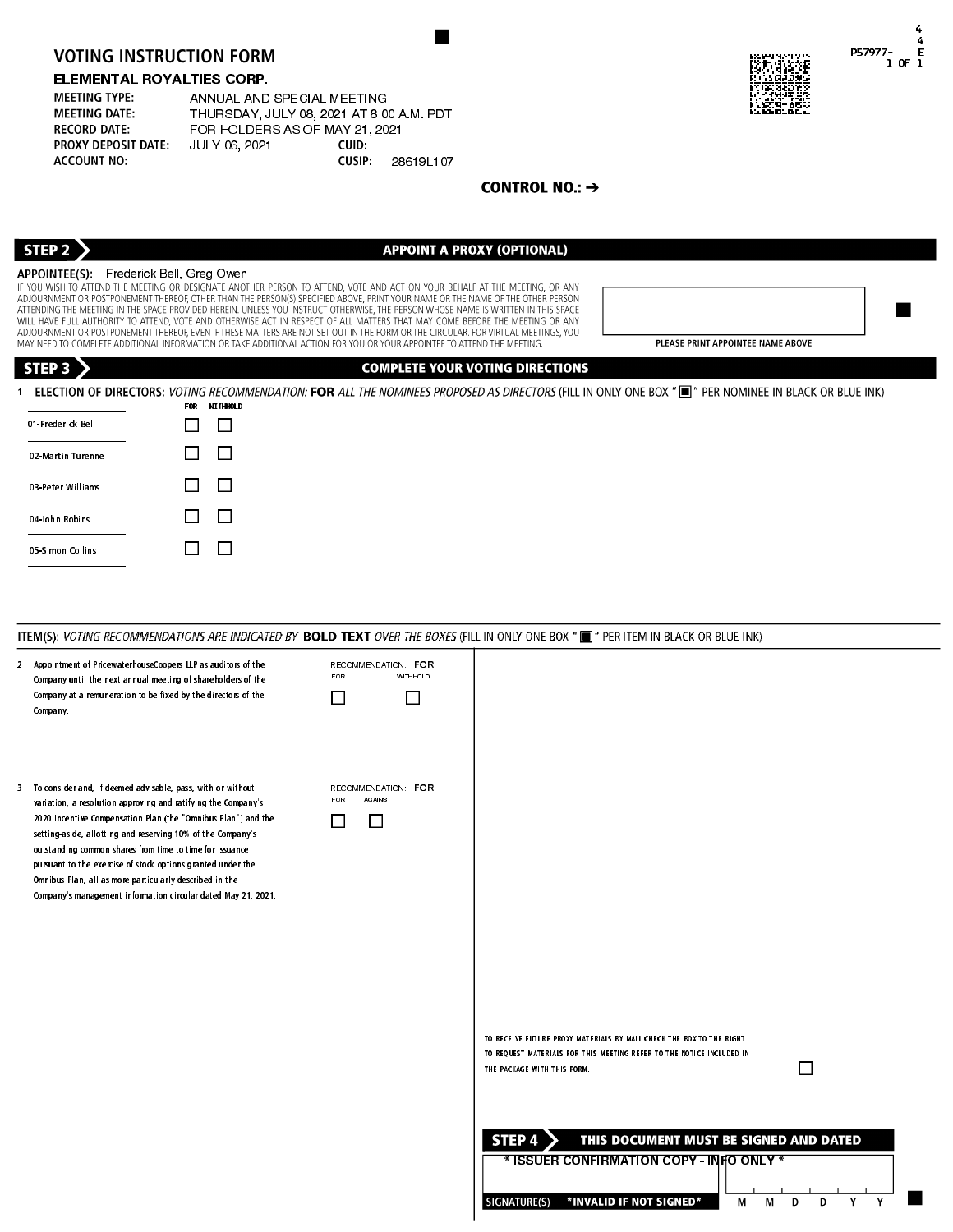## ELEMENTAL ROYALTIES CORP.

| <b>MEETING TYPE:</b>       | ANNUAL AND SPECIAL MEETING               |        |           |
|----------------------------|------------------------------------------|--------|-----------|
| <b>MEETING DATE:</b>       | THURSDAY, JULY 08, 2021 AT 8:00 A M. PDT |        |           |
| <b>RECORD DATE:</b>        | FOR HOLDERS AS OF MAY 21, 2021           |        |           |
| <b>PROXY DEPOSIT DATE:</b> | JULY 06, 2021                            | CUID:  |           |
| <b>ACCOUNT NO:</b>         |                                          | CUSIP: | 286191107 |



4

P57977

 1 OF 1 4

E

APPOINTEE(S): Frederick Bell, Greg Owen<br>If you wish to attend the meeting or designate another person to attend, vote and act on your behalf at the meeting, or any

PLEASE PRINT APPOINTEE NAME AROVE

| STEP 3            |              | <b>COMPLETE YOUR VOTING DIRECTIONS</b>                                                                                                                            |
|-------------------|--------------|-------------------------------------------------------------------------------------------------------------------------------------------------------------------|
|                   | FOR .        | ELECTION OF DIRECTORS: VOTING RECOMMENDATION: FOR ALL THE NOMINEES PROPOSED AS DIRECTORS (FILL IN ONLY ONE BOX "I " PER NOMINEE IN BLACK OR BLUE INK)<br>NITHHOLD |
| 01 Frederick Bell | ΙI           | $\Box$                                                                                                                                                            |
| 02 Martin Turenne |              | $\Box$                                                                                                                                                            |
| 03 Peter Williams | $\mathsf{L}$ | $\Box$                                                                                                                                                            |
| 04 John Robins    | $\mathsf{L}$ | $\Box$                                                                                                                                                            |
| 05 Simon Collins  | $\mathbf{L}$ | $\Box$                                                                                                                                                            |
|                   |              |                                                                                                                                                                   |

## VOTING INSTRUCTION FORM<br>
ELEMENTAL ROYALITIES CORP.<br>
MEEDIA TYPE: ANNUAL AND SPECIAL MEETING<br>
MEEDIA ONE CORP.<br>
MEEDIA ONE CORP.<br>
MEEDIA ON THE SECOND JULY 06, 2224 AS OF MATOR 2013<br>
PROVIDENCES TRIVIAL (ULY 06, 2224 AS O 2 Appointment of PricewaterhouseCoopers LLP as auditors of the RECOMMENDATION: FOR<br>Company until the next annual meeting of chareholders of the FOR WITHHOLD WITHHOLD Company until the next annual meeting of shareholders of the Company at a remuneration to be fixed by the directors of the 0 0 Company. To consider and, if deemed advisable, pass, with or without RECOMMENDATION: FOR<br>
variation a secolution approximate and estiminate the Company's RECOMMENDATION: FOR AGAINST variation, a resolution approving and ratifying the Company's 2020 Incentive Compensation Plan (the "Omnibus Plan") and the 0 0 setting-aside, allotting and reserving 10% of the Company's outstanding common shares from time to time for issuance pursuant to the exercise of stock options granted under the Omnibus Plan, all as more particularly described in the Company's management information circular dated May 21, 2021. **0** TO RECEIVE FUTURE PROXY MATERIALS BY MAIL CHECK THE BOX TO THE RIGHT. TO REQUEST MATERIALS FOR THIS MEETING REFER TO THE NOTICE INCLUDED IN THE PACKAGE WITH THIS FORM.  $\Box$ STEP 4  $\geq$ THIS DOCUMENT MUST BE SIGNED AND DATED \* ISSUER CONFIRMATION COPY - INFO ONLY \* \*INVALID IF NOT SIGNED\* SIGNATURE(S) Y M M  $\mathbf{D}$ D Y